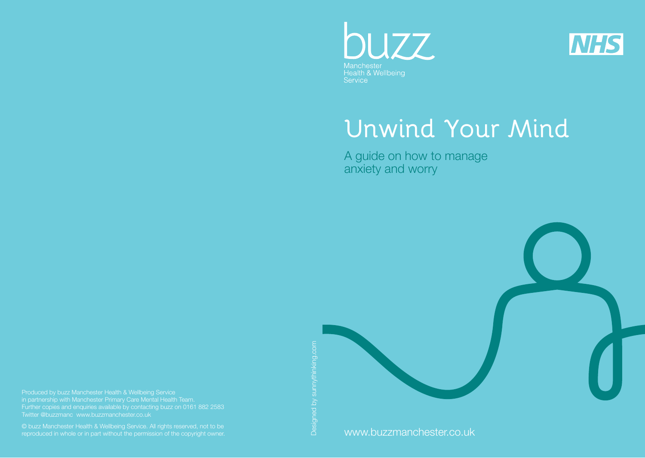



# **Unwind Your Mind**

A guide on how to manage anxiety and worry



Produced by buzz Manchester Health & Wellbeing Service Further copies and enquiries available by contacting buzz on 0161 882 2583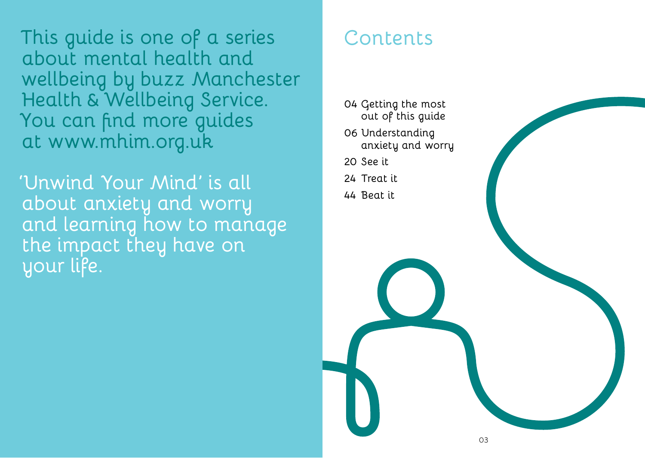**This guide is one of a series about mental health and wellbeing by buzz Manchester Health & Wellbeing Service. You can find more guides at www.mhim.org.uk**

**'Unwind Your Mind' is all about anxiety and worry and learning how to manage the impact they have on your life.** 

# **Contents**

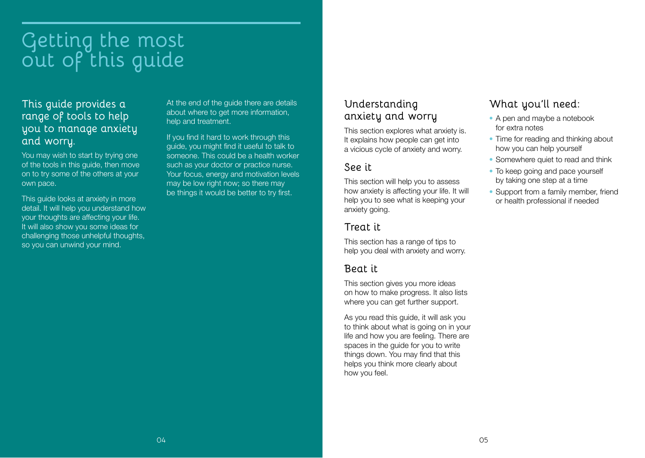# **Getting the most out of this guide**

### **This guide provides a range of tools to help you to manage anxiety and worry.**

You may wish to start by trying one of the tools in this guide, then move on to try some of the others at your own pace.

This guide looks at anxiety in more detail. It will help you understand how your thoughts are affecting your life. It will also show you some ideas for challenging those unhelpful thoughts, so you can unwind your mind.

At the end of the quide there are details about where to get more information, help and treatment.

If you find it hard to work through this guide, you might find it useful to talk to someone. This could be a health worker such as your doctor or practice nurse. Your focus, energy and motivation levels may be low right now; so there may be things it would be better to try first.

### **Understanding anxiety and worry**

This section explores what anxiety is. It explains how people can get into a vicious cycle of anxiety and worry.

### **See it**

This section will help you to assess how anxiety is affecting your life. It will help you to see what is keeping your anxiety going.

### **Treat it**

This section has a range of tips to help you deal with anxiety and worry.

### **Beat it**

This section gives you more ideas on how to make progress. It also lists where you can get further support.

As you read this guide, it will ask you to think about what is going on in your life and how you are feeling. There are spaces in the guide for you to write things down. You may find that this helps you think more clearly about how you feel.

### **What you'll need:**

- A pen and maybe a notebook for extra notes
- Time for reading and thinking about how you can help yourself
- Somewhere quiet to read and think
- To keep going and pace yourself by taking one step at a time
- Support from a family member, friend or health professional if needed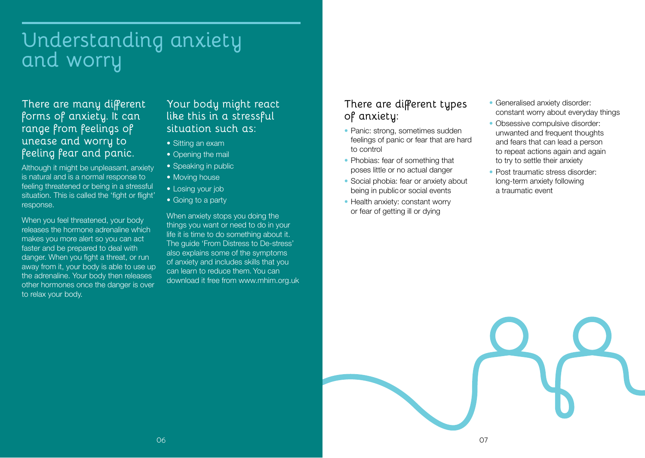# **Understanding anxiety and worry**

### **There are many different forms of anxiety. It can range from feelings of unease and worry to feeling fear and panic.**

Although it might be unpleasant, anxiety is natural and is a normal response to feeling threatened or being in a stressful situation. This is called the 'fight or flight' response.

When you feel threatened, your body releases the hormone adrenaline which makes you more alert so you can act faster and be prepared to deal with danger. When you fight a threat, or run away from it, your body is able to use up the adrenaline. Your body then releases other hormones once the danger is over to relax your body.

### **Your body might react like this in a stressful situation such as:**

- Sitting an exam
- Opening the mail
- Speaking in public
- Moving house
- Losing your job
- Going to a party

When anxiety stops you doing the things you want or need to do in your life it is time to do something about it. The guide 'From Distress to De-stress' also explains some of the symptoms of anxiety and includes skills that you can learn to reduce them. You can download it free from www.mhim.org.uk

### **There are different types of anxiety:**

- Panic: strong, sometimes sudden feelings of panic or fear that are hard to control
- Phobias: fear of something that poses little or no actual danger
- Social phobia: fear or anxiety about being in publicor social events
- Health anxiety: constant worry or fear of getting ill or dying
- Generalised anxiety disorder: constant worry about everyday things
- Obsessive compulsive disorder: unwanted and frequent thoughts and fears that can lead a person to repeat actions again and again to try to settle their anxiety
- Post traumatic stress disorder: long-term anxiety following a traumatic event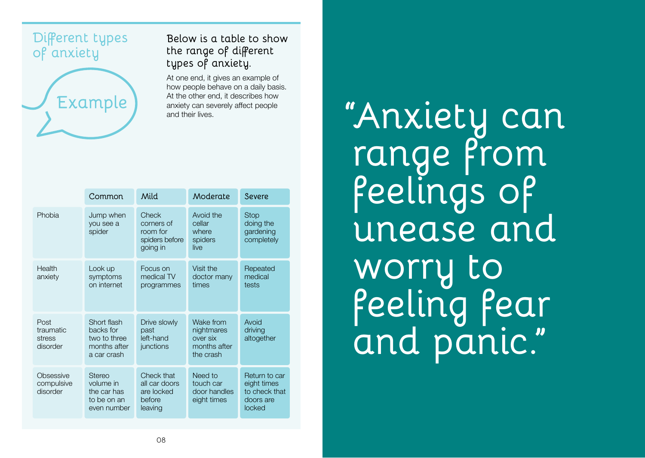### **Different types of anxiety**



**Below is a table to show the range of different types of anxiety.** 

At one end, it gives an example of how people behave on a daily basis. At the other end, it describes how anxiety can severely affect people and their lives.

|                                         | Common                                                                  | Mild                                                           | Moderate                                                         | Severe                                                               |
|-----------------------------------------|-------------------------------------------------------------------------|----------------------------------------------------------------|------------------------------------------------------------------|----------------------------------------------------------------------|
| Phobia                                  | Jump when<br>you see a<br>spider                                        | Check<br>corners of<br>room for<br>spiders before<br>going in  | Avoid the<br>cellar<br>where<br>spiders<br>live                  | <b>Stop</b><br>doing the<br>gardening<br>completely                  |
| Health<br>anxiety                       | Look up<br>symptoms<br>on internet                                      | Focus on<br>medical TV<br>programmes                           | Visit the<br>doctor many<br>times                                | Repeated<br>medical<br>tests                                         |
| Post<br>traumatic<br>stress<br>disorder | Short flash<br>backs for<br>two to three<br>months after<br>a car crash | Drive slowly<br>past<br>left-hand<br>junctions                 | Wake from<br>nightmares<br>over six<br>months after<br>the crash | Avoid<br>driving<br>altogether                                       |
| Obsessive<br>compulsive<br>disorder     | Stereo<br>volume in<br>the car has<br>to be on an<br>even number        | Check that<br>all car doors<br>are locked<br>before<br>leaving | Need to<br>touch car<br>door handles<br>eight times              | Return to car<br>eight times<br>to check that<br>doors are<br>locked |

**" Anxiety can range from feelings of unease and worry to feeling fear and panic."**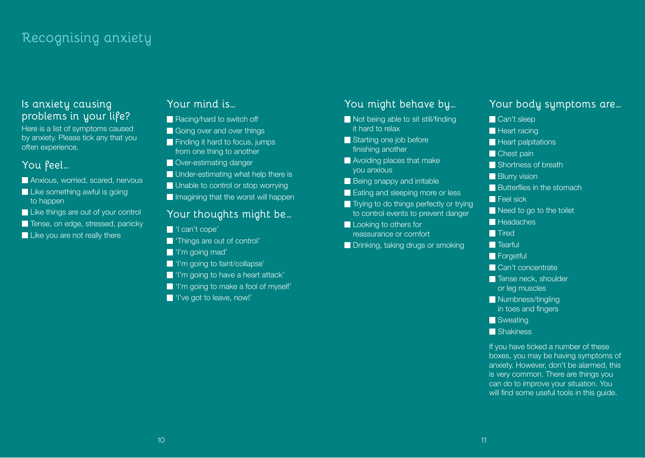### **Recognising anxiety**

### **Is anxiety causing problems in your life?**

Here is a list of symptoms caused by anxiety. Please tick any that you often experience.

### **You feel…**

- Anxious, worried, scared, nervous
- $\blacksquare$  Like something awful is going to happen
- Like things are out of your control
- Tense, on edge, stressed, panicky
- $\blacksquare$  Like you are not really there

### **Your mind is…**

- $\blacksquare$  Racing/hard to switch off
- Going over and over things
- $\blacksquare$  Finding it hard to focus, jumps from one thing to another
- Over-estimating danger
- **Under-estimating what help there is**
- **Unable to control or stop worrying**
- Imagining that the worst will happen

### **Your thoughts might be…**

- I 'I can't cope'
- 'Things are out of control'
- 'I'm going mad'
- **T** 'I'm going to faint/collapse'
- **T** 'I'm going to have a heart attack'
- **I'm going to make a fool of myself'**
- 'I've got to leave, now!'

### **You might behave by…**

- Not being able to sit still/finding it hard to relax
- Starting one job before finishing another
- **Avoiding places that make** you anxious
- Being snappy and irritable
- Eating and sleeping more or less
- **Trying to do things perfectly or trying** to control events to prevent danger
- **Looking to others for** reassurance or comfort
- Drinking, taking drugs or smoking

### **Your body symptoms are…**

- Can't sleep
- $H$  Heart racing
- **Heart palpitations**
- Chest pain
- Shortness of breath
- **Blurry vision**
- **Butterflies in the stomach**
- $\blacksquare$  Feel sick
- Need to go to the toilet
- $\blacksquare$  Headaches
- **T** Tired
- $\blacksquare$  Tearful
- **Forgetful**
- Can't concentrate
- **T** Tense neck, shoulder or leg muscles
- **Numbness/tingling** in toes and fingers
- **N** Sweating
- **No Shakiness**

If you have ticked a number of these boxes, you may be having symptoms of anxiety. However, don't be alarmed, this is very common. There are things you can do to improve your situation. You will find some useful tools in this guide.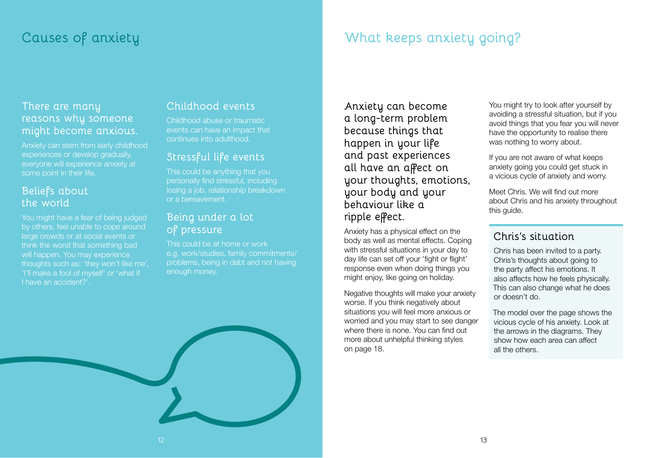## **Causes of anxiety What keeps anxiety going?**

### **There are many reasons why someone might become anxious.**

Anxiety can stem from early childhood experiences or develop gradually, everyone will experience anxiety at some point in their life.

### **Beliefs about the world**

You might have a fear of being judged by others, feel unable to cope around large crowds or at social events or think the worst that something bad will happen. You may experience thoughts such as: 'they won't like me', 'I'll make a fool of myself' or 'what if I have an accident?'.

### **Childhood events**

Childhood abuse or traumatic events can have an impact that continues into adulthood.

### **Stressful life events**

This could be anything that you personally find stressful, including losing a job, relationship breakdown or a bereavement.

### **Being under a lot of pressure**

This could be at home or work e.g. work/studies, family commitments/ problems, being in debt and not having enough money.

**Anxiety can become a long-term problem because things that happen in your life and past experiences all have an affect on your thoughts, emotions, your body and your behaviour like a ripple effect.**

Anxiety has a physical effect on the body as well as mental effects. Coping with stressful situations in your day to day life can set off your 'fight or flight' response even when doing things you might enjoy, like going on holiday.

Negative thoughts will make your anxiety worse. If you think negatively about situations you will feel more anxious or worried and you may start to see danger where there is none. You can find out more about unhelpful thinking styles on page 18.

You might try to look after yourself by avoiding a stressful situation, but if you avoid things that you fear you will never have the opportunity to realise there was nothing to worry about.

If you are not aware of what keeps anxiety going you could get stuck in a vicious cycle of anxiety and worry.

Meet Chris. We will find out more about Chris and his anxiety throughout this guide.

### **Chris's situation**

Chris has been invited to a party. Chris's thoughts about going to the party affect his emotions. It also affects how he feels physically. This can also change what he does or doesn't do.

The model over the page shows the vicious cycle of his anxiety. Look at the arrows in the diagrams. They show how each area can affect all the others.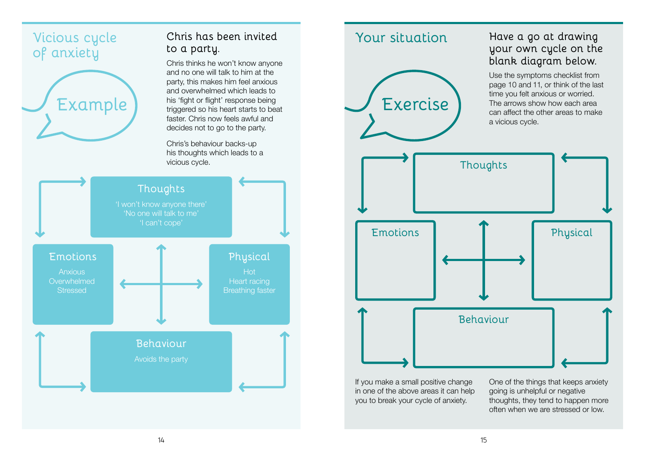

### **Your situation**



### **Have a go at drawing your own cycle on the blank diagram below.**

Use the symptoms checklist from page 10 and 11, or think of the last time you felt anxious or worried. The arrows show how each area can affect the other areas to make a vicious cycle.



If you make a small positive change in one of the above areas it can help you to break your cycle of anxiety.

One of the things that keeps anxiety going is unhelpful or negative thoughts, they tend to happen more often when we are stressed or low.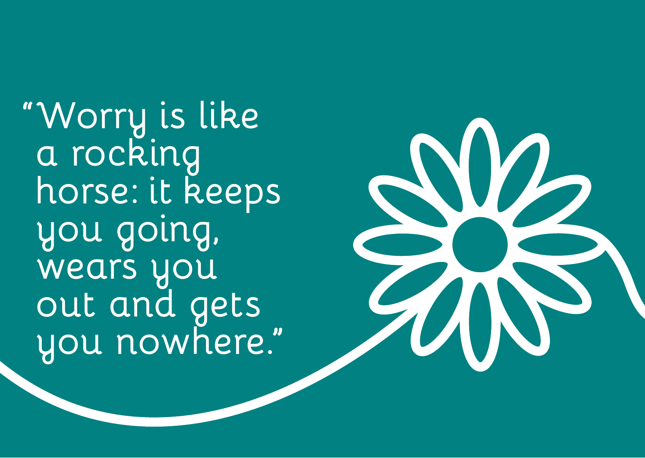**"Worry is like a rocking horse: it keeps you going, wears you out and gets you nowhere."**

W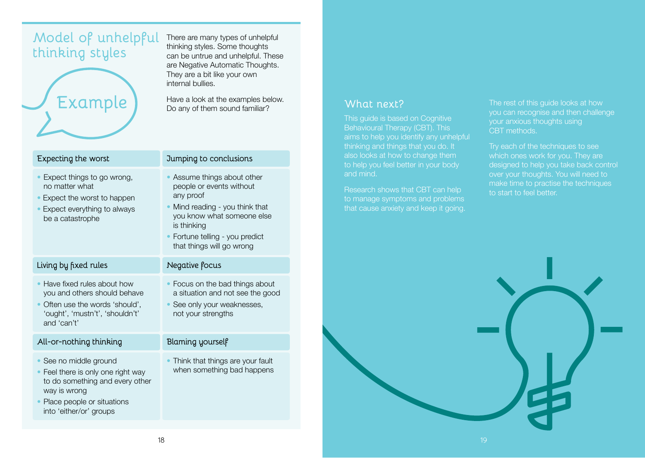### **Model of unhelpful thinking styles**



into 'either/or' groups

There are many types of unhelpful thinking styles. Some thoughts can be untrue and unhelpful. These are Negative Automatic Thoughts. They are a bit like your own internal bullies.

Have a look at the examples below. Do any of them sound familiar?

| Expecting the worst                                                                                                                           | Jumping to conclusions                                                                                                                                                                                               |  |
|-----------------------------------------------------------------------------------------------------------------------------------------------|----------------------------------------------------------------------------------------------------------------------------------------------------------------------------------------------------------------------|--|
| Expect things to go wrong,<br>no matter what<br>Expect the worst to happen<br>Expect everything to always<br>be a catastrophe                 | • Assume things about other<br>people or events without<br>any proof<br>• Mind reading - you think that<br>you know what someone else<br>is thinking<br>• Fortune telling - you predict<br>that things will go wrong |  |
| Living by fixed rules                                                                                                                         | Negative focus                                                                                                                                                                                                       |  |
| Have fixed rules about how<br>you and others should behave<br>Often use the words 'should',<br>'ought', 'mustn't', 'shouldn't'<br>and 'can't' | Focus on the bad things about<br>a situation and not see the good<br>See only your weaknesses,<br>not your strengths                                                                                                 |  |
| All-or-nothing thinking                                                                                                                       | Blaming yourself                                                                                                                                                                                                     |  |
| • See no middle ground<br>Feel there is only one right way<br>to do something and every other<br>way is wrong<br>• Place people or situations | • Think that things are your fault<br>when something bad happens                                                                                                                                                     |  |

#### **What next?**

This guide is based on Cognitive Behavioural Therapy (CBT). This aims to help you identify any unhelpful also looks at how to change them and mind.

Research shows that CBT can help to manage symptoms and problems that cause anxiety and keep it going.

The rest of this quide looks at how you can recognise and then challenge your anxious thoughts using CBT methods.

Try each of the techniques to see which ones work for you. They are designed to help you take back control make time to practise the techniques to start to feel better.

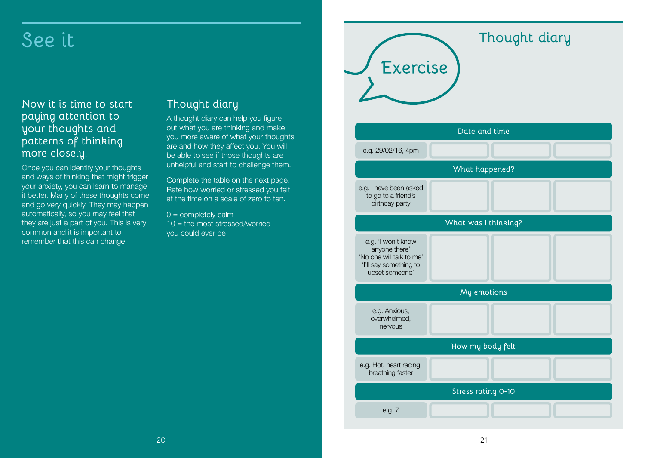### **Now it is time to start paying attention to your thoughts and patterns of thinking more closely.**

Once you can identify your thoughts and ways of thinking that might trigger your anxiety, you can learn to manage it better. Many of these thoughts come and go very quickly. They may happen automatically, so you may feel that they are just a part of you. This is very common and it is important to remember that this can change.

### **Thought diary**

A thought diary can help you figure out what you are thinking and make you more aware of what your thoughts are and how they affect you. You will be able to see if those thoughts are unhelpful and start to challenge them.

Complete the table on the next page. Rate how worried or stressed you felt at the time on a scale of zero to ten.

 $0 =$  completely calm 10 = the most stressed/worried you could ever be

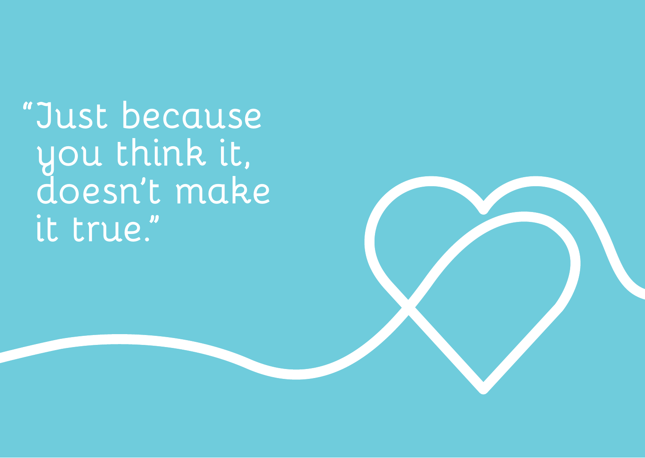**"Just because you think it, doesn't make it true."**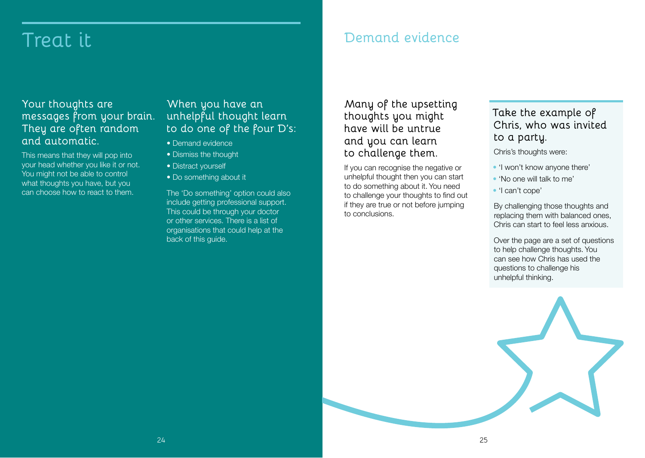# **Treat it**

### **Your thoughts are messages from your brain. They are often random and automatic.**

This means that they will pop into your head whether you like it or not. You might not be able to control what thoughts you have, but you can choose how to react to them.

### **When you have an unhelpful thought learn to do one of the four D's:**

- Demand evidence
- Dismiss the thought
- Distract yourself
- Do something about it

The 'Do something' option could also include getting professional support. This could be through your doctor or other services. There is a list of organisations that could help at the back of this guide.

### **Many of the upsetting thoughts you might have will be untrue and you can learn to challenge them.**

**Demand evidence**

If you can recognise the negative or unhelpful thought then you can start to do something about it. You need to challenge your thoughts to find out if they are true or not before jumping to conclusions.

### **Take the example of Chris, who was invited to a party.**

Chris's thoughts were:

- 'I won't know anyone there'
- 'No one will talk to me'
- 'I can't cope'

By challenging those thoughts and replacing them with balanced ones, Chris can start to feel less anxious.

Over the page are a set of questions to help challenge thoughts. You can see how Chris has used the questions to challenge his unhelpful thinking.

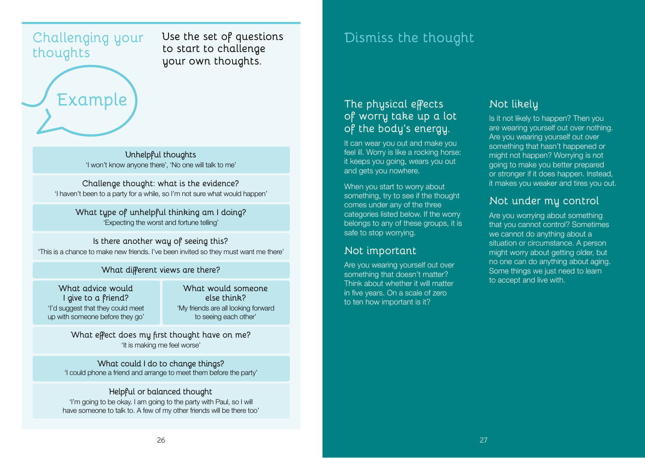# **thoughts**

Example

**Use the set of questions to start to challenge your own thoughts.**

**Unhelpful thoughts** 'I won't know anyone there', 'No one will talk to me'

**Challenge thought: what is the evidence?** 'I haven't been to a party for a while, so I'm not sure what would happen'

**What type of unhelpful thinking am I doing?** 'Expecting the worst and fortune telling'

**Is there another way of seeing this?** 'This is a chance to make new friends. I've been invited so they must want me there'

**What different views are there?**

**What advice would I give to a friend?** 'I'd suggest that they could meet up with someone before they go'

**What would someone else think?** 'My friends are all looking forward to seeing each other'

**What effect does my first thought have on me?** 'It is making me feel worse'

**What could I do to change things?** 'I could phone a friend and arrange to meet them before the party'

#### **Helpful or balanced thought**

'I'm going to be okay. I am going to the party with Paul, so I will have someone to talk to. A few of my other friends will be there too'

### **Challenging your Dismiss the thought**

### **The physical effects of worry take up a lot of the body's energy.**

It can wear you out and make you feel ill. Worry is like a rocking horse: it keeps you going, wears you out and gets you nowhere.

When you start to worry about something, try to see if the thought comes under any of the three categories listed below. If the worry belongs to any of these groups, it is safe to stop worrying.

### **Not important**

Are you wearing yourself out over something that doesn't matter? Think about whether it will matter in five years. On a scale of zero to ten how important is it?

### **Not likely**

Is it not likely to happen? Then you are wearing yourself out over nothing. Are you wearing yourself out over something that hasn't happened or might not happen? Worrying is not going to make you better prepared or stronger if it does happen. Instead, it makes you weaker and tires you out.

### **Not under my control**

Are you worrying about something that you cannot control? Sometimes we cannot do anything about a situation or circumstance. A person might worry about getting older, but no one can do anything about aging. Some things we just need to learn to accept and live with.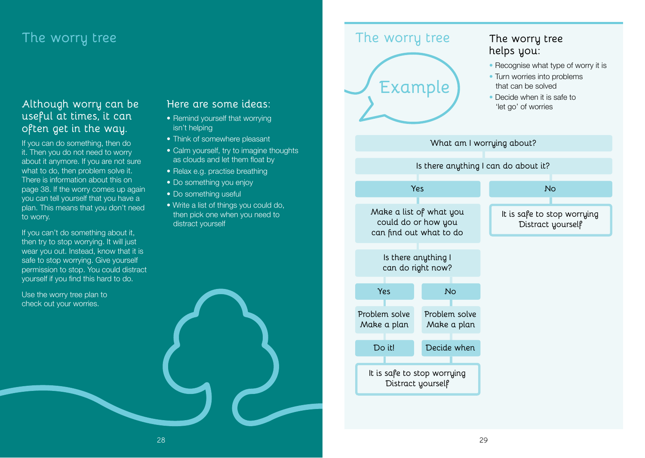### **The worry tree**

### **Although worry can be useful at times, it can often get in the way.**

If you can do something, then do it. Then you do not need to worry about it anymore. If you are not sure what to do, then problem solve it. There is information about this on page 38. If the worry comes up again you can tell yourself that you have a plan. This means that you don't need to worry.

If you can't do something about it, then try to stop worrying. It will just wear you out. Instead, know that it is safe to stop worrying. Give yourself permission to stop. You could distract yourself if you find this hard to do.

Use the worry tree plan to check out your worries.

### **Here are some ideas:**

- Remind yourself that worrying isn't helping
- Think of somewhere pleasant
- Calm yourself, try to imagine thoughts as clouds and let them float by
- Relax e.g. practise breathing
- Do something you enjoy
- Do something useful
- Write a list of things you could do, then pick one when you need to distract yourself

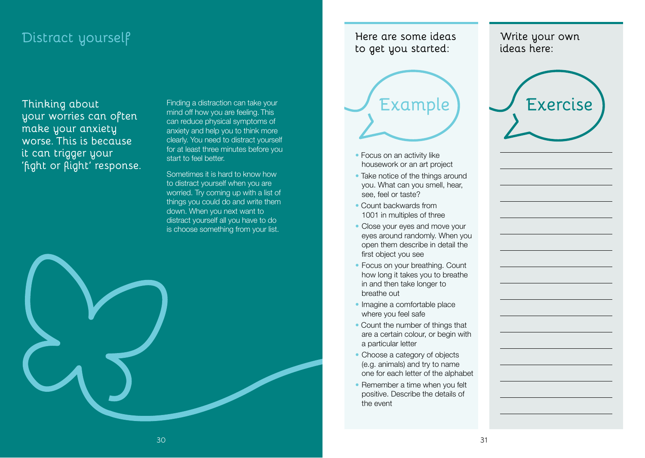### **Distract yourself**

**Thinking about your worries can often make your anxiety worse. This is because it can trigger your 'fight or flight' response.**

Finding a distraction can take your mind off how you are feeling. This can reduce physical symptoms of anxiety and help you to think more clearly. You need to distract yourself for at least three minutes before you start to feel better.

Sometimes it is hard to know how to distract yourself when you are worried. Try coming up with a list of things you could do and write them down. When you next want to distract yourself all you have to do is choose something from your list.



### **Here are some ideas to get you started:**



- Focus on an activity like housework or an art project
- Take notice of the things around you. What can you smell, hear, see, feel or taste?
- Count backwards from 1001 in multiples of three
- Close your eyes and move your eyes around randomly. When you open them describe in detail the first object you see
- Focus on your breathing. Count how long it takes you to breathe in and then take longer to breathe out
- Imagine a comfortable place where you feel safe
- Count the number of things that are a certain colour, or begin with a particular letter
- Choose a category of objects (e.g. animals) and try to name one for each letter of the alphabet
- Remember a time when you felt positive. Describe the details of the event

**Write your own ideas here:**

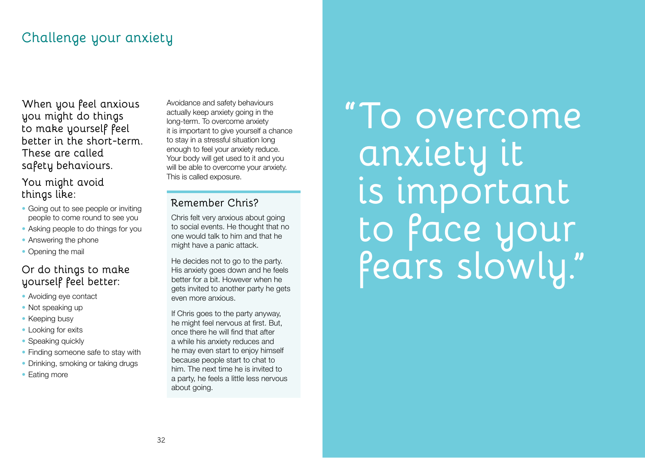## **Challenge your anxiety**

**When you feel anxious you might do things to make yourself feel better in the short-term. These are called safety behaviours.**

### **You might avoid things like:**

- Going out to see people or inviting people to come round to see you
- Asking people to do things for you
- Answering the phone
- Opening the mail

### **Or do things to make yourself feel better:**

- Avoiding eye contact
- Not speaking up
- Keeping busy
- Looking for exits
- Speaking quickly
- Finding someone safe to stay with
- Drinking, smoking or taking drugs
- Eating more

Avoidance and safety behaviours actually keep anxiety going in the long-term. To overcome anxiety it is important to give yourself a chance to stay in a stressful situation long enough to feel your anxiety reduce. Your body will get used to it and you will be able to overcome your anxiety. This is called exposure.

### **Remember Chris?**

Chris felt very anxious about going to social events. He thought that no one would talk to him and that he might have a panic attack.

He decides not to go to the party. His anxiety goes down and he feels better for a bit. However when he gets invited to another party he gets even more anxious.

If Chris goes to the party anyway, he might feel nervous at first. But, once there he will find that after a while his anxiety reduces and he may even start to enjoy himself because people start to chat to him. The next time he is invited to a party, he feels a little less nervous about going.

**"To overcome anxiety it is important to face your fears slowly."**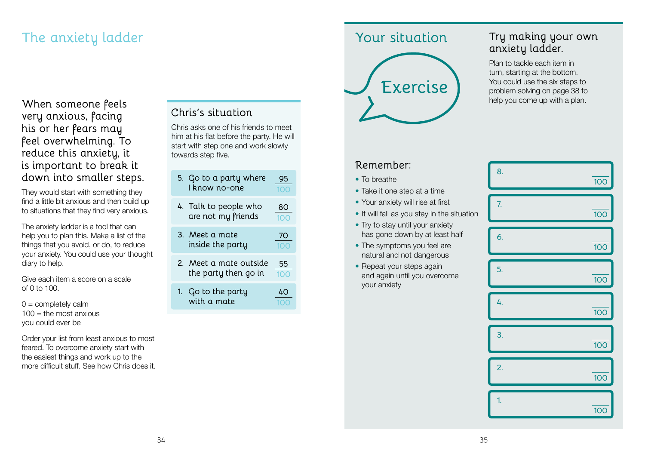### **The anxiety ladder**

**When someone feels very anxious, facing his or her fears may feel overwhelming. To reduce this anxiety, it is important to break it down into smaller steps.** 

They would start with something they find a little bit anxious and then build up to situations that they find very anxious.

The anxiety ladder is a tool that can help you to plan this. Make a list of the things that you avoid, or do, to reduce your anxiety. You could use your thought diary to help.

Give each item a score on a scale of 0 to 100.

 $0 =$  completely calm  $100 =$  the most anxious you could ever be

Order your list from least anxious to most feared. To overcome anxiety start with the easiest things and work up to the more difficult stuff. See how Chris does it.

### **Chris's situation**

Chris asks one of his friends to meet him at his flat before the party. He will start with step one and work slowly towards step five.

| 5. Go to a party where<br>I know no-one        | 95<br>100 |
|------------------------------------------------|-----------|
| 4. Talk to people who<br>are not my friends    | 80<br>100 |
| 3. Meet a mate<br>inside the party             | 70<br>100 |
| 2. Meet a mate outside<br>the party then go in | 55<br>100 |
| 1. Go to the party<br>with a mate              | 40        |

### **Your situation**



### **Try making your own anxiety ladder.**

Plan to tackle each item in turn, starting at the bottom. You could use the six steps to problem solving on page 38 to help you come up with a plan.

| Remember:                                                            | 8.        |
|----------------------------------------------------------------------|-----------|
| • To breathe                                                         | 100       |
| • Take it one step at a time                                         |           |
| • Your anxiety will rise at first                                    | 7.        |
| • It will fall as you stay in the situation                          | 100       |
| • Try to stay until your anxiety<br>has gone down by at least half   | 6.        |
| • The symptoms you feel are                                          | 100       |
| natural and not dangerous                                            |           |
| Repeat your steps again<br>$\bullet$<br>and again until you overcome | 5.<br>100 |
| your anxiety                                                         |           |
|                                                                      | 4.<br>100 |
|                                                                      |           |
|                                                                      | 3.        |
|                                                                      | 100       |
|                                                                      | 2.        |
|                                                                      | 100       |
|                                                                      |           |
|                                                                      |           |
|                                                                      | 10C       |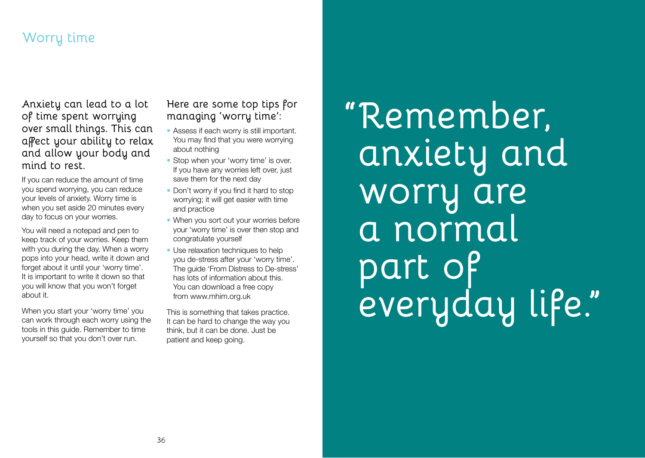### **Worry time**

**Anxiety can lead to a lot of time spent worrying over small things. This can affect your ability to relax and allow your body and mind to rest.** 

If you can reduce the amount of time you spend worrying, you can reduce your levels of anxiety. Worry time is when you set aside 20 minutes every day to focus on your worries.

You will need a notepad and pen to keep track of your worries. Keep them with you during the day. When a worry pops into your head, write it down and forget about it until your 'worry time'. It is important to write it down so that you will know that you won't forget about it.

When you start your 'worry time' you can work through each worry using the tools in this guide. Remember to time yourself so that you don't over run.

### **Here are some top tips for managing 'worry time':**

- Assess if each worry is still important. You may find that you were worrying about nothing
- Stop when your 'worry time' is over. If you have any worries left over, just save them for the next day
- Don't worry if you find it hard to stop worrying; it will get easier with time and practice
- When you sort out your worries before your 'worry time' is over then stop and congratulate yourself
- Use relaxation techniques to help you de-stress after your 'worry time'. The guide 'From Distress to De-stress' has lots of information about this. You can download a free copy from www.mhim.org.uk

This is something that takes practice. It can be hard to change the way you think, but it can be done. Just be patient and keep going.

**"Remember, anxiety and worry are a normal part of everyday life."**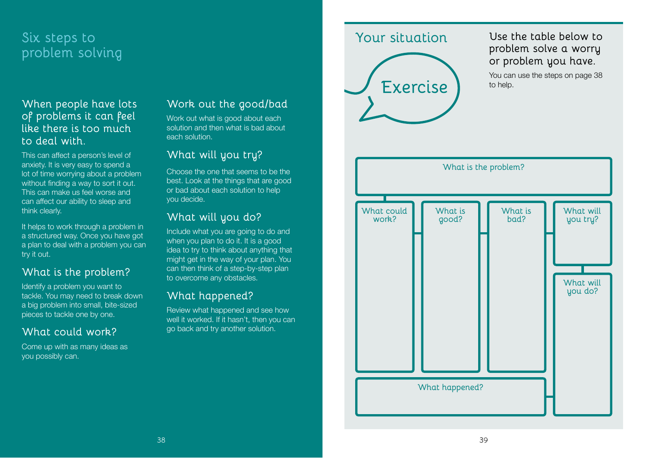### **Six steps to problem solving**

### **When people have lots of problems it can feel like there is too much to deal with.**

This can affect a person's level of anxiety. It is very easy to spend a lot of time worrying about a problem without finding a way to sort it out. This can make us feel worse and can affect our ability to sleep and think clearly.

It helps to work through a problem in a structured way. Once you have got a plan to deal with a problem you can try it out.

### **What is the problem?**

Identify a problem you want to tackle. You may need to break down a big problem into small, bite-sized pieces to tackle one by one.

### **What could work?**

Come up with as many ideas as you possibly can.

### **Work out the good/bad**

Work out what is good about each solution and then what is bad about each solution.

### **What will you try?**

Choose the one that seems to be the best. Look at the things that are good or bad about each solution to help you decide.

### **What will you do?**

Include what you are going to do and when you plan to do it. It is a good idea to try to think about anything that might get in the way of your plan. You can then think of a step-by-step plan to overcome any obstacles.

### **What happened?**

Review what happened and see how well it worked. If it hasn't, then you can go back and try another solution.

### **Your situation**



### **Use the table below to problem solve a worry or problem you have.**

You can use the steps on page 38 to help.

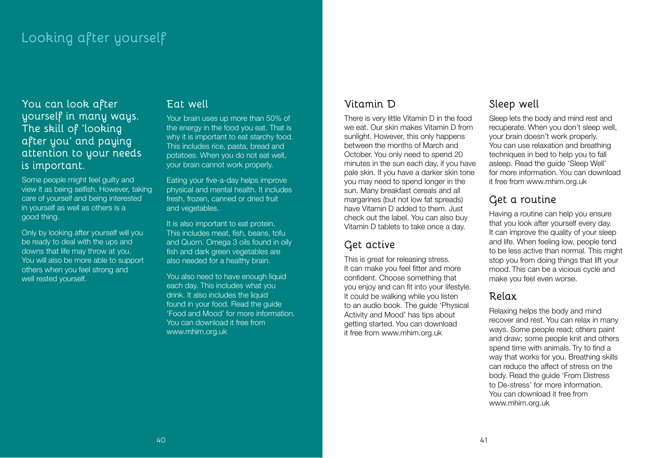### **Looking after yourself**

### **You can look after yourself in many ways. The skill of 'looking after you' and paying attention to your needs is important.**

Some people might feel guilty and view it as being selfish. However, taking care of yourself and being interested in yourself as well as others is a good thing.

Only by looking after yourself will you be ready to deal with the ups and downs that life may throw at you. You will also be more able to support others when you feel strong and well rested yourself.

### **Eat well**

Your brain uses up more than 50% of the energy in the food you eat. That is why it is important to eat starchy food. This includes rice, pasta, bread and potatoes. When you do not eat well, your brain cannot work properly.

Eating your five-a-day helps improve physical and mental health. It includes fresh, frozen, canned or dried fruit and vegetables.

It is also important to eat protein. This includes meat, fish, beans, tofu and Quorn. Omega 3 oils found in oily fish and dark green vegetables are also needed for a healthy brain.

You also need to have enough liquid each day. This includes what you drink. It also includes the liquid found in your food. Read the guide 'Food and Mood' for more information. You can download it free from www.mhim.org.uk

### **Vitamin D**

There is very little Vitamin D in the food we eat. Our skin makes Vitamin D from sunlight. However, this only happens between the months of March and October. You only need to spend 20 minutes in the sun each day, if you have pale skin. If you have a darker skin tone you may need to spend longer in the sun. Many breakfast cereals and all margarines (but not low fat spreads) have Vitamin D added to them. Just check out the label. You can also buy Vitamin D tablets to take once a day.

### **Get active**

This is great for releasing stress. It can make you feel fitter and more confident. Choose something that you enjoy and can fit into your lifestyle. It could be walking while you listen to an audio book. The guide 'Physical Activity and Mood' has tips about getting started. You can download it free from www.mhim.org.uk

### **Sleep well**

Sleep lets the body and mind rest and recuperate. When you don't sleep well, your brain doesn't work properly. You can use relaxation and breathing techniques in bed to help you to fall asleep. Read the guide 'Sleep Well' for more information. You can download it free from www.mhim.org.uk

### **Get a routine**

Having a routine can help you ensure that you look after yourself every day. It can improve the quality of your sleep and life. When feeling low, people tend to be less active than normal. This might stop you from doing things that lift your mood. This can be a vicious cycle and make you feel even worse.

### **Relax**

Relaxing helps the body and mind recover and rest. You can relax in many ways. Some people read; others paint and draw; some people knit and others spend time with animals. Try to find a way that works for you. Breathing skills can reduce the affect of stress on the body. Read the guide 'From Distress to De-stress' for more information. You can download it free from www.mhim.org.uk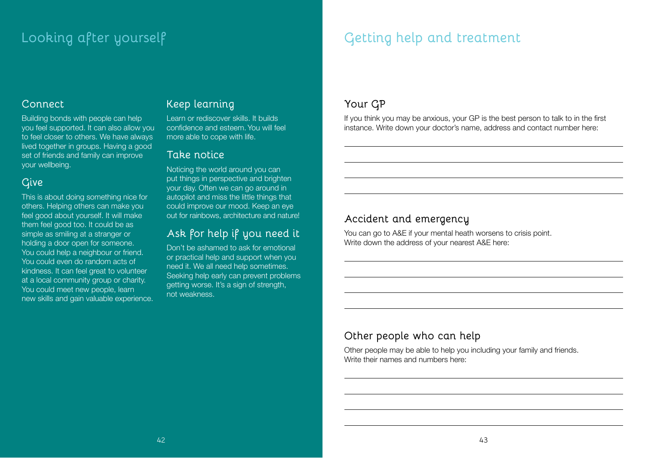#### **Connect**

Building bonds with people can help you feel supported. It can also allow you to feel closer to others. We have always lived together in groups. Having a good set of friends and family can improve your wellbeing.

### **Give**

This is about doing something nice for others. Helping others can make you feel good about yourself. It will make them feel good too. It could be as simple as smiling at a stranger or holding a door open for someone. You could help a neighbour or friend. You could even do random acts of kindness. It can feel great to volunteer at a local community group or charity. You could meet new people, learn new skills and gain valuable experience.

### **Keep learning**

Learn or rediscover skills. It builds confidence and esteem. You will feel more able to cope with life.

#### **Take notice**

Noticing the world around you can put things in perspective and brighten your day. Often we can go around in autopilot and miss the little things that could improve our mood. Keep an eye out for rainbows, architecture and nature!

### **Ask for help if you need it**

Don't be ashamed to ask for emotional or practical help and support when you need it. We all need help sometimes. Seeking help early can prevent problems getting worse. It's a sign of strength, not weakness.

## **Looking after yourself Getting help and treatment**

### **Your GP**

If you think you may be anxious, your GP is the best person to talk to in the first instance. Write down your doctor's name, address and contact number here:

### **Accident and emergency**

You can go to A&E if your mental heath worsens to crisis point. Write down the address of your nearest A&E here:

### **Other people who can help**

Other people may be able to help you including your family and friends. Write their names and numbers here: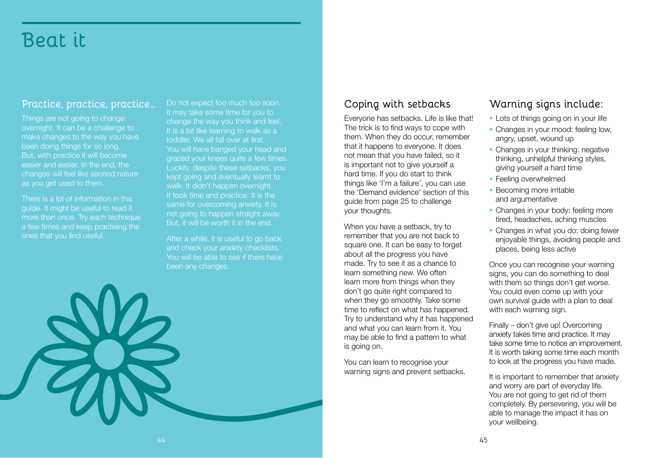# **Beat it**

#### **Practice, practice, practice…**

Things are not going to change overnight. It can be a challenge to make changes to the way you have But, with practice it will become easier and easier. In the end, the changes will feel like second nature as you get used to them.

There is a lot of information in this guide. It might be useful to read it more than once. Try each technique a few times and keep practising the ones that you find useful.

Do not expect too much too soon. It may take some time for you to change the way you think and feel. It is a bit like learning to walk as a toddler. We all fall over at first. You will have banged your head and grazed your knees quite a few times. Luckily, despite these setbacks, you kept going and eventually learnt to walk. It didn't happen overnight. It took time and practice. It is the same for overcoming anxiety. It is not going to happen straight away. But, it will be worth it in the end.

After a while, it is useful to go back and check your anxiety checklists. You will be able to see if there have been any changes.



### **Coping with setbacks**

Everyone has setbacks. Life is like that! The trick is to find ways to cope with them. When they do occur, remember that it happens to everyone. It does not mean that you have failed, so it is important not to give yourself a hard time. If you do start to think things like 'I'm a failure', you can use the 'Demand evidence' section of this guide from page 25 to challenge your thoughts.

When you have a setback, try to remember that you are not back to square one. It can be easy to forget about all the progress you have made. Try to see it as a chance to learn something new. We often learn more from things when they don't go quite right compared to when they go smoothly. Take some time to reflect on what has happened. Try to understand why it has happened and what you can learn from it. You may be able to find a pattern to what is going on.

You can learn to recognise your warning signs and prevent setbacks.

### **Warning signs include:**

- Lots of things going on in your life
- Changes in your mood: feeling low, angry, upset, wound up
- Changes in your thinking: negative thinking, unhelpful thinking styles, giving yourself a hard time
- Feeling overwhelmed
- Becoming more irritable and argumentative
- Changes in your body: feeling more tired, headaches, aching muscles
- Changes in what you do: doing fewer enjoyable things, avoiding people and places, being less active

Once you can recognise your warning signs, you can do something to deal with them so things don't get worse. You could even come up with your own survival guide with a plan to deal with each warning sign.

Finally – don't give up! Overcoming anxiety takes time and practice. It may take some time to notice an improvement. It is worth taking some time each month to look at the progress you have made.

It is important to remember that anxiety and worry are part of everyday life. You are not going to get rid of them completely. By persevering, you will be able to manage the impact it has on your wellbeing.